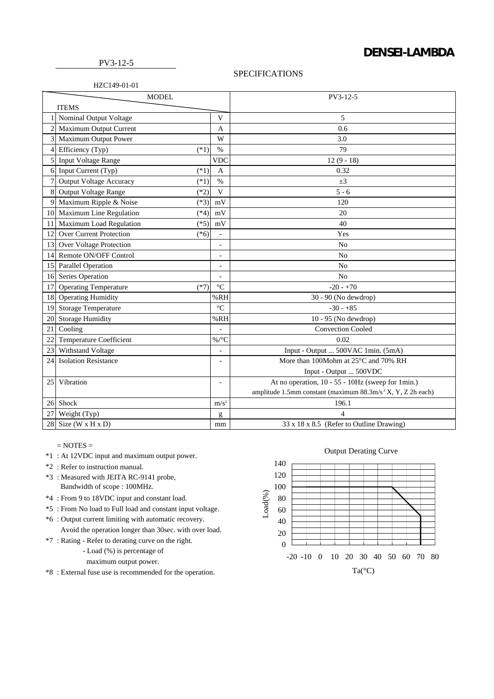## **DENSEI-LAMBDA**

## PV3-12-5

HZC149-01-01

## SPECIFICATIONS

| <b>MODEL</b> |                                          |                              | PV3-12-5                                                                |
|--------------|------------------------------------------|------------------------------|-------------------------------------------------------------------------|
| <b>ITEMS</b> |                                          |                              |                                                                         |
|              | Nominal Output Voltage                   | V                            | 5                                                                       |
|              | Maximum Output Current                   | A                            | 0.6                                                                     |
| 3            | Maximum Output Power                     | W                            | 3.0                                                                     |
| 4            | Efficiency (Typ)<br>$(*1)$               | $\%$                         | 79                                                                      |
| 5            | <b>Input Voltage Range</b>               | <b>VDC</b>                   | $12(9-18)$                                                              |
| 6            | Input Current (Typ)<br>$(*1)$            | $\overline{A}$               | 0.32                                                                    |
| 7            | <b>Output Voltage Accuracy</b><br>$(*1)$ | $\%$                         | $\pm 3$                                                                 |
| 8            | <b>Output Voltage Range</b><br>$(*2)$    | V                            | $5 - 6$                                                                 |
| 9            | Maximum Ripple & Noise<br>$(*3)$         | mV                           | 120                                                                     |
| 10           | Maximum Line Regulation<br>$(*4)$        | mV                           | 20                                                                      |
| 11           | Maximum Load Regulation<br>$(*5)$        | mV                           | 40                                                                      |
| 12           | Over Current Protection<br>$(*6)$        | $\overline{\phantom{a}}$     | Yes                                                                     |
| 13           | Over Voltage Protection                  | $\overline{a}$               | N <sub>0</sub>                                                          |
| 14           | Remote ON/OFF Control                    | $\qquad \qquad \blacksquare$ | N <sub>o</sub>                                                          |
| 15           | <b>Parallel Operation</b>                | $\overline{a}$               | N <sub>o</sub>                                                          |
| 16           | Series Operation                         | $\overline{a}$               | N <sub>o</sub>                                                          |
| 17           | <b>Operating Temperature</b><br>$(*7)$   | $\rm ^{\circ}C$              | $-20 - +70$                                                             |
| 18           | <b>Operating Humidity</b>                | %RH                          | 30 - 90 (No dewdrop)                                                    |
| 19           | <b>Storage Temperature</b>               | $\rm ^{\circ}C$              | $-30 - +85$                                                             |
| 20           | <b>Storage Humidity</b>                  | %RH                          | 10 - 95 (No dewdrop)                                                    |
| 21           | Cooling                                  |                              | <b>Convection Cooled</b>                                                |
| 22           | <b>Temperature Coefficient</b>           | $\%$ /°C                     | 0.02                                                                    |
| 23           | Withstand Voltage                        | $\qquad \qquad \blacksquare$ | Input - Output  500VAC 1min. (5mA)                                      |
| 24           | <b>Isolation Resistance</b>              | ٠                            | More than 100Mohm at 25°C and 70% RH                                    |
|              |                                          |                              | Input - Output  500VDC                                                  |
| 25           | Vibration                                | $\overline{\phantom{a}}$     | At no operation, 10 - 55 - 10Hz (sweep for 1min.)                       |
|              |                                          |                              | amplitude 1.5mm constant (maximum 88.3m/s <sup>2</sup> X, Y, Z 2h each) |
| 26           | Shock                                    | $m/s^2$                      | 196.1                                                                   |
| 27           | Weight (Typ)                             | g                            | 4                                                                       |
| 28           | Size (W x H x D)                         | mm                           | 33 x 18 x 8.5 (Refer to Outline Drawing)                                |

 $=$  NOTES  $=$ 

- \*1 : At 12VDC input and maximum output power.
- \*2 : Refer to instruction manual.
- \*3 : Measured with JEITA RC-9141 probe, Bandwidth of scope : 100MHz.
- \*4 : From 9 to 18VDC input and constant load.
- \*5 : From No load to Full load and constant input voltage.
- \*6 : Output current limiting with automatic recovery.
	- Avoid the operation longer than 30sec. with over load.
- \*7 : Rating Refer to derating curve on the right.
	- Load (%) is percentage of
	- maximum output power.
- \*8 : External fuse use is recommended for the operation.

## Output Derating Curve